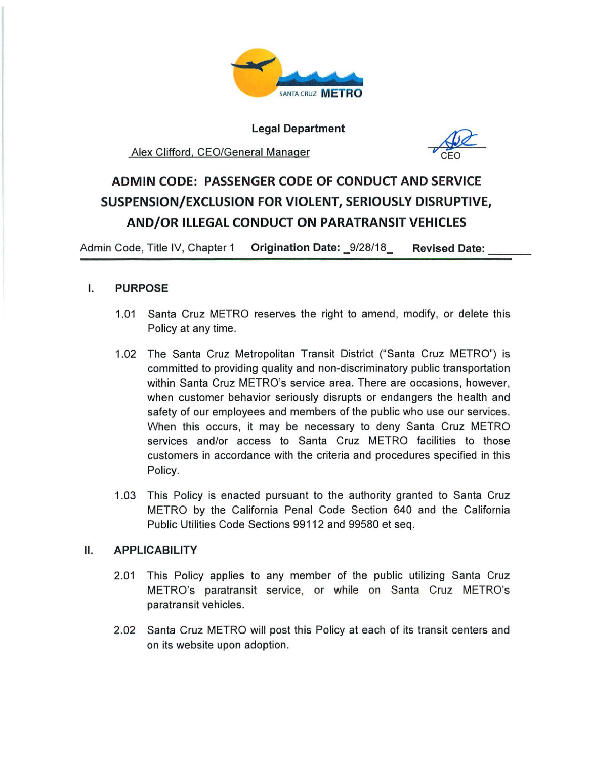

**Legal Department** 

# Alex Clifford. CEO/General Manager



# **ADMIN CODE: PASSENGER CODE OF CONDUCT AND SERVICE SUSPENSION/EXCLUSION FOR VIOLENT, SERIOUSLY DISRUPTIVE, AND/OR ILLEGAL CONDUCT ON PARATRANSIT VEHICLES**

--- Admin Code, Title IV, Chapter 1 **Origination Date:** \_9/28/18\_ **Revised Date:** 

# I. **PURPOSE**

- 1.01 Santa Cruz METRO reserves the right to amend, modify, or delete this Policy at any time.
- 1.02 The Santa Cruz Metropolitan Transit District ("Santa Cruz METRO") is committed to providing quality and non-discriminatory public transportation within Santa Cruz METRO's service area. There are occasions, however, when customer behavior seriously disrupts or endangers the health and safety of our employees and members of the public who use our services. When this occurs, it may be necessary to deny Santa Cruz METRO services and/or access to Santa Cruz METRO facilities to those customers in accordance with the criteria and procedures specified in this Policy.
- 1.03 This Policy is enacted pursuant to the authority granted to Santa Cruz METRO by the California Penal Code Section 640 and the California Public Utilities Code Sections 99112 and 99580 et seq.

# **11. APPLICABILITY**

- 2.01 This Policy applies to any member of the public utilizing Santa Cruz METRO's paratransit service, or while on Santa Cruz METRO's paratransit vehicles.
- 2.02 Santa Cruz METRO will post this Policy at each of its transit centers and on its website upon adoption.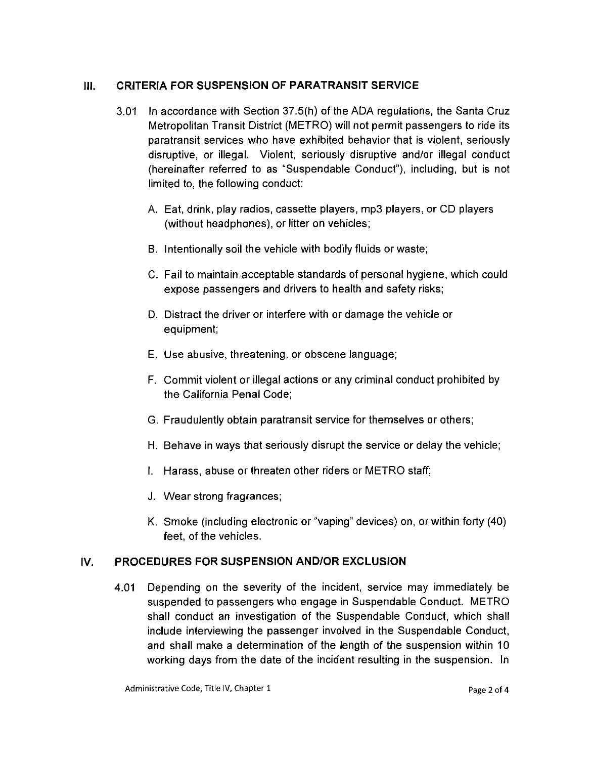### **111. CRITERIA FOR SUSPENSION OF PARATRANSIT SERVICE**

- 3.01 In accordance with Section 37.5(h) of the ADA regulations, the Santa Cruz Metropolitan Transit District (METRO) will not permit passengers to ride its paratransit services who have exhibited behavior that is violent, seriously disruptive, or illegal. Violent, seriously disruptive and/or illegal conduct (hereinafter referred to as "Suspendable Conduct"), including, but is not limited to, the following conduct:
	- A. Eat, drink, play radios, cassette players, mp3 players, or CD players (without headphones), or litter on vehicles;
	- B. Intentionally soil the vehicle with bodily fluids or waste;
	- C. Fail to maintain acceptable standards of personal hygiene, which could expose passengers and drivers to health and safety risks;
	- D. Distract the driver or interfere with or damage the vehicle or equipment;
	- E. Use abusive, threatening, or obscene language;
	- F. Commit violent or illegal actions or any criminal conduct prohibited by the California Penal Code;
	- G. Fraudulently obtain paratransit service for themselves or others;
	- H. Behave in ways that seriously disrupt the service or delay the vehicle;
	- I. Harass, abuse or threaten other riders or METRO staff;
	- J. Wear strong fragrances;
	- K. Smoke (including electronic or "vaping" devices) on, or within forty (40) feet, of the vehicles.

# IV. **PROCEDURES FOR SUSPENSION AND/OR EXCLUSION**

4.01 Depending on the severity of the incident, service may immediately be suspended to passengers who engage in Suspendable Conduct. METRO shall conduct an investigation of the Suspendable Conduct, which shall include interviewing the passenger involved in the Suspendable Conduct, and shall make a determination of the length of the suspension within 10 working days from the date of the incident resulting in the suspension. In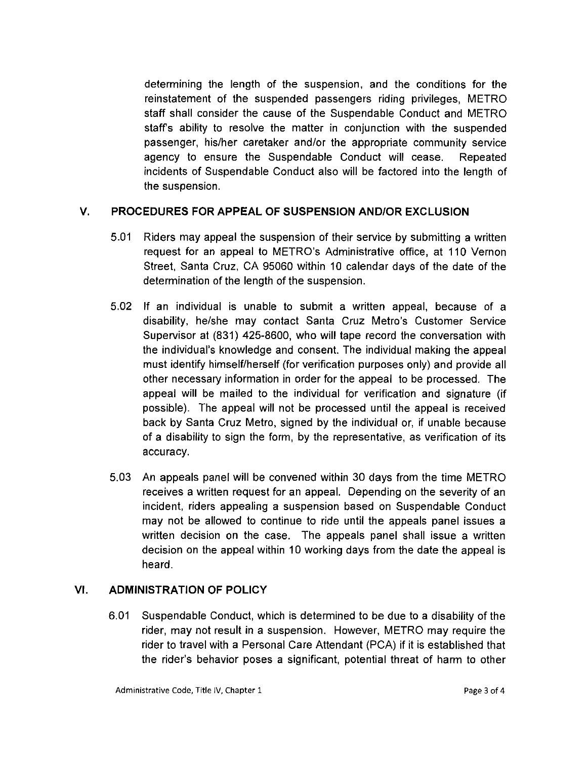determining the length of the suspension, and the conditions for the reinstatement of the suspended passengers riding privileges, METRO staff shall consider the cause of the Suspendable Conduct and METRO staffs ability to resolve the matter in conjunction with the suspended passenger, his/her caretaker and/or the appropriate community service agency to ensure the Suspendable Conduct will cease. Repeated incidents of Suspendable Conduct also will be factored into the length of the suspension.

# **V. PROCEDURES FOR APPEAL OF SUSPENSION AND/OR EXCLUSION**

- 5.01 Riders may appeal the suspension of their service by submitting a written request for an appeal to METRO's Administrative office, at 110 Vernon Street, Santa Cruz. CA 95060 within 10 calendar days of the date of the determination of the length of the suspension.
- 5.02 If an individual is unable to submit a written appeal, because of a disability, he/she may contact Santa Cruz Metro's Customer Service Supervisor at (831) 425-8600, who will tape record the conversation with the individual's knowledge and consent. The individual making the appeal must identify himself/herself (for verification purposes only) and provide all other necessary information in order for the appeal to be processed. The appeal will be mailed to the individual for verification and signature (if possible). The appeal will not be processed until the appeal is received back by Santa Cruz Metro, signed by the individual or, if unable because of a disability to sign the form, by the representative, as verification of its accuracy.
- 5.03 An appeals panel will be convened within 30 days from the time METRO receives a written request for an appeal. Depending on the severity of an incident. riders appealing a suspension based on Suspendable Conduct may not be allowed to continue to ride until the appeals panel issues a written decision on the case. The appeals panel shall issue a written decision on the appeal within 10 working days from the date the appeal is heard.

# **VI. ADMINISTRATION OF POLICY**

6.01 Suspendable Conduct, which is determined to be due to a disability of the rider, may not result in a suspension. However, METRO may require the rider to travel with a Personal Care Attendant (PCA) if it is established that the rider's behavior poses a significant, potential threat of harm to other